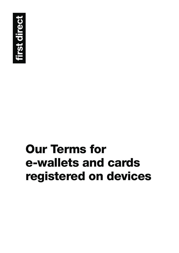

# **Our Terms for e-wallets and cards registered on devices**